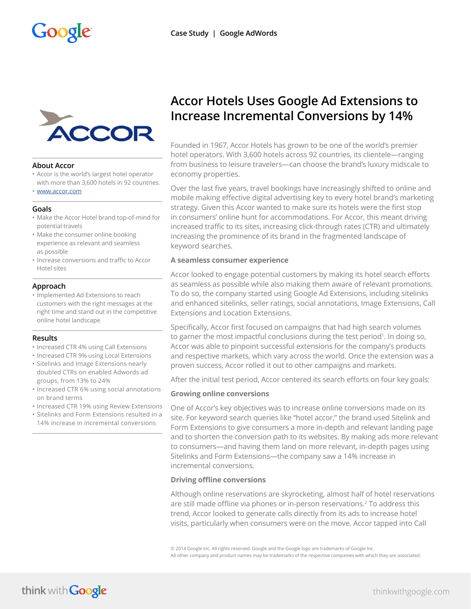

## **About Accor**

- Accor is the world's largest hotel operator with more than 3,600 hotels in 92 countries.
- [www.accor.com](http://www.accor.com)

## **Goals**

- Make the Accor Hotel brand top-of-mind for potential travels
- Make the consumer online booking experience as relevant and seamless as possible
- Increase conversions and traffic to Accor Hotel sites

## **Approach**

• Implemented Ad Extensions to reach customers with the right messages at the right time and stand out in the competitive online hotel landscape

## **Results**

- Increased CTR 4% using Call Extensions
- Increased CTR 9% using Local Extensions
- Sitelinks and Image Extensions nearly doubled CTRs on enabled Adwords ad groups, from 13% to 24%
- Increased CTR 6% using social annotations on brand terms
- Increased CTR 19% using Review Extensions
- Sitelinks and Form Extensions resulted in a 14% increase in incremental conversions

# **Accor Hotels Uses Google Ad Extensions to Increase Incremental Conversions by 14%**

Founded in 1967, Accor Hotels has grown to be one of the world's premier hotel operators. With 3,600 hotels across 92 countries, its clientele—ranging from business to leisure travelers—can choose the brand's luxury midscale to economy properties.

Over the last five years, travel bookings have increasingly shifted to online and mobile making effective digital advertising key to every hotel brand's marketing strategy. Given this Accor wanted to make sure its hotels were the first stop in consumers' online hunt for accommodations. For Accor, this meant driving increased traffic to its sites, increasing click-through rates (CTR) and ultimately increasing the prominence of its brand in the fragmented landscape of keyword searches.

## **A seamless consumer experience**

Accor looked to engage potential customers by making its hotel search efforts as seamless as possible while also making them aware of relevant promotions. To do so, the company started using Google Ad Extensions, including sitelinks and enhanced sitelinks, seller ratings, social annotations, Image Extensions, Call Extensions and Location Extensions.

Specifically, Accor first focused on campaigns that had high search volumes to garner the most impactful conclusions during the test period<sup>1</sup>. In doing so, Accor was able to pinpoint successful extensions for the company's products and respective markets, which vary across the world. Once the extension was a proven success, Accor rolled it out to other campaigns and markets.

After the initial test period, Accor centered its search efforts on four key goals:

## **Growing online conversions**

One of Accor's key objectives was to increase online conversions made on its site. For keyword search queries like "hotel accor," the brand used Sitelink and Form Extensions to give consumers a more in-depth and relevant landing page and to shorten the conversion path to its websites. By making ads more relevant to consumers—and having them land on more relevant, in-depth pages using Sitelinks and Form Extensions—the company saw a 14% increase in incremental conversions.

# **Driving offline conversions**

Although online reservations are skyrocketing, almost half of hotel reservations are still made offline via phones or in-person reservations.<sup>2</sup> To address this trend, Accor looked to generate calls directly from its ads to increase hotel visits, particularly when consumers were on the move. Accor tapped into Call

© 2014 Google Inc. All rights reserved. Google and the Google logo are trademarks of Google Inc.

All other company and product names may be trademarks of the respective companies with which they are associated.